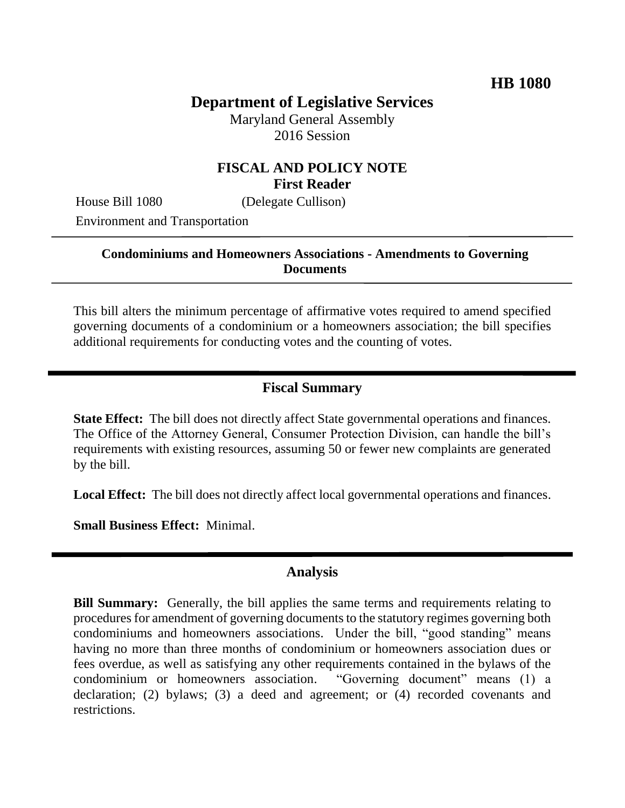# **Department of Legislative Services**

Maryland General Assembly 2016 Session

#### **FISCAL AND POLICY NOTE First Reader**

House Bill 1080 (Delegate Cullison) Environment and Transportation

#### **Condominiums and Homeowners Associations - Amendments to Governing Documents**

This bill alters the minimum percentage of affirmative votes required to amend specified governing documents of a condominium or a homeowners association; the bill specifies additional requirements for conducting votes and the counting of votes.

#### **Fiscal Summary**

**State Effect:** The bill does not directly affect State governmental operations and finances. The Office of the Attorney General, Consumer Protection Division, can handle the bill's requirements with existing resources, assuming 50 or fewer new complaints are generated by the bill.

**Local Effect:** The bill does not directly affect local governmental operations and finances.

**Small Business Effect:** Minimal.

#### **Analysis**

**Bill Summary:** Generally, the bill applies the same terms and requirements relating to procedures for amendment of governing documents to the statutory regimes governing both condominiums and homeowners associations. Under the bill, "good standing" means having no more than three months of condominium or homeowners association dues or fees overdue, as well as satisfying any other requirements contained in the bylaws of the condominium or homeowners association. "Governing document" means (1) a declaration; (2) bylaws; (3) a deed and agreement; or (4) recorded covenants and restrictions.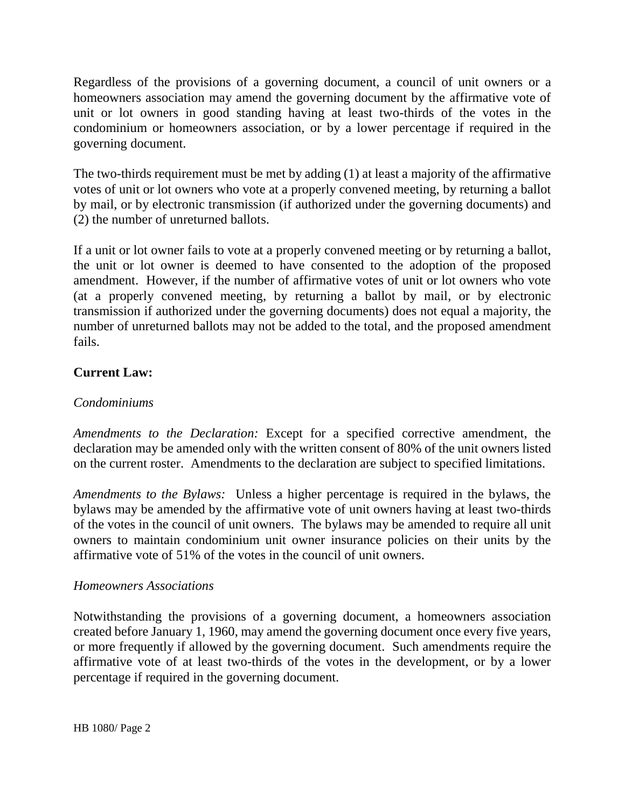Regardless of the provisions of a governing document, a council of unit owners or a homeowners association may amend the governing document by the affirmative vote of unit or lot owners in good standing having at least two-thirds of the votes in the condominium or homeowners association, or by a lower percentage if required in the governing document.

The two-thirds requirement must be met by adding (1) at least a majority of the affirmative votes of unit or lot owners who vote at a properly convened meeting, by returning a ballot by mail, or by electronic transmission (if authorized under the governing documents) and (2) the number of unreturned ballots.

If a unit or lot owner fails to vote at a properly convened meeting or by returning a ballot, the unit or lot owner is deemed to have consented to the adoption of the proposed amendment. However, if the number of affirmative votes of unit or lot owners who vote (at a properly convened meeting, by returning a ballot by mail, or by electronic transmission if authorized under the governing documents) does not equal a majority, the number of unreturned ballots may not be added to the total, and the proposed amendment fails.

### **Current Law:**

#### *Condominiums*

*Amendments to the Declaration:* Except for a specified corrective amendment, the declaration may be amended only with the written consent of 80% of the unit owners listed on the current roster. Amendments to the declaration are subject to specified limitations.

*Amendments to the Bylaws:* Unless a higher percentage is required in the bylaws, the bylaws may be amended by the affirmative vote of unit owners having at least two-thirds of the votes in the council of unit owners. The bylaws may be amended to require all unit owners to maintain condominium unit owner insurance policies on their units by the affirmative vote of 51% of the votes in the council of unit owners.

#### *Homeowners Associations*

Notwithstanding the provisions of a governing document, a homeowners association created before January 1, 1960, may amend the governing document once every five years, or more frequently if allowed by the governing document. Such amendments require the affirmative vote of at least two-thirds of the votes in the development, or by a lower percentage if required in the governing document.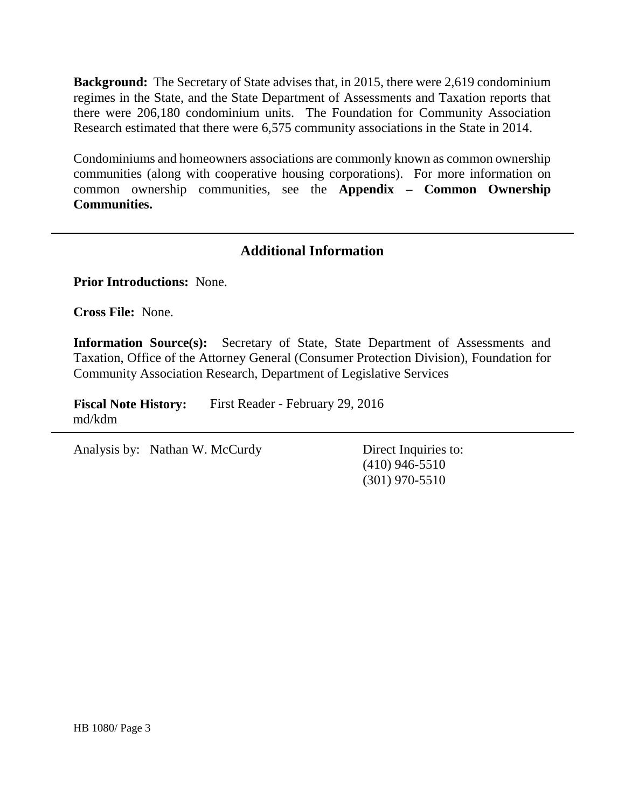**Background:** The Secretary of State advises that, in 2015, there were 2,619 condominium regimes in the State, and the State Department of Assessments and Taxation reports that there were 206,180 condominium units. The Foundation for Community Association Research estimated that there were 6,575 community associations in the State in 2014.

Condominiums and homeowners associations are commonly known as common ownership communities (along with cooperative housing corporations). For more information on common ownership communities, see the **Appendix – Common Ownership Communities.** 

### **Additional Information**

**Prior Introductions:** None.

**Cross File:** None.

**Information Source(s):** Secretary of State, State Department of Assessments and Taxation, Office of the Attorney General (Consumer Protection Division), Foundation for Community Association Research, Department of Legislative Services

**Fiscal Note History:** First Reader - February 29, 2016 md/kdm

Analysis by: Nathan W. McCurdy Direct Inquiries to:

(410) 946-5510 (301) 970-5510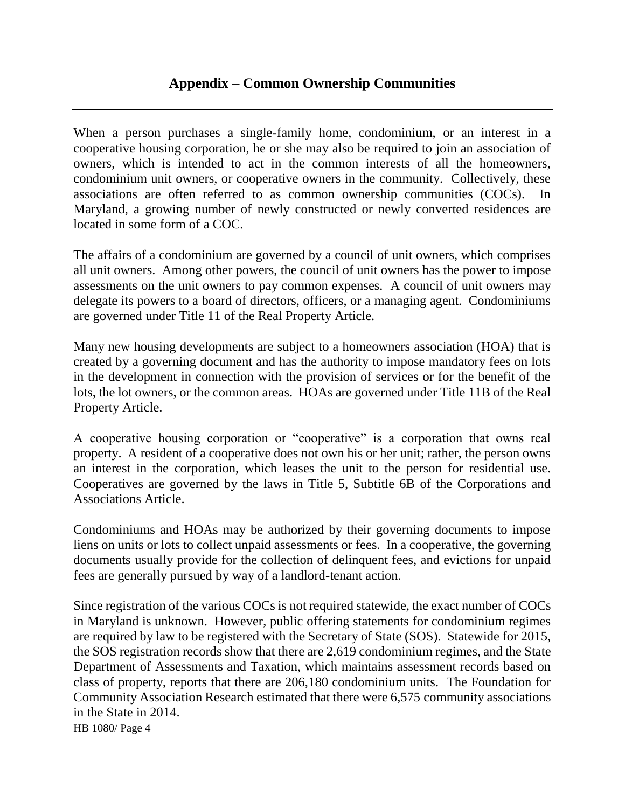## **Appendix – Common Ownership Communities**

When a person purchases a single-family home, condominium, or an interest in a cooperative housing corporation, he or she may also be required to join an association of owners, which is intended to act in the common interests of all the homeowners, condominium unit owners, or cooperative owners in the community. Collectively, these associations are often referred to as common ownership communities (COCs). Maryland, a growing number of newly constructed or newly converted residences are located in some form of a COC.

The affairs of a condominium are governed by a council of unit owners, which comprises all unit owners. Among other powers, the council of unit owners has the power to impose assessments on the unit owners to pay common expenses. A council of unit owners may delegate its powers to a board of directors, officers, or a managing agent. Condominiums are governed under Title 11 of the Real Property Article.

Many new housing developments are subject to a homeowners association (HOA) that is created by a governing document and has the authority to impose mandatory fees on lots in the development in connection with the provision of services or for the benefit of the lots, the lot owners, or the common areas. HOAs are governed under Title 11B of the Real Property Article.

A cooperative housing corporation or "cooperative" is a corporation that owns real property. A resident of a cooperative does not own his or her unit; rather, the person owns an interest in the corporation, which leases the unit to the person for residential use. Cooperatives are governed by the laws in Title 5, Subtitle 6B of the Corporations and Associations Article.

Condominiums and HOAs may be authorized by their governing documents to impose liens on units or lots to collect unpaid assessments or fees. In a cooperative, the governing documents usually provide for the collection of delinquent fees, and evictions for unpaid fees are generally pursued by way of a landlord-tenant action.

HB 1080/ Page 4 Since registration of the various COCs is not required statewide, the exact number of COCs in Maryland is unknown. However, public offering statements for condominium regimes are required by law to be registered with the Secretary of State (SOS). Statewide for 2015, the SOS registration records show that there are 2,619 condominium regimes, and the State Department of Assessments and Taxation, which maintains assessment records based on class of property, reports that there are 206,180 condominium units. The Foundation for Community Association Research estimated that there were 6,575 community associations in the State in 2014.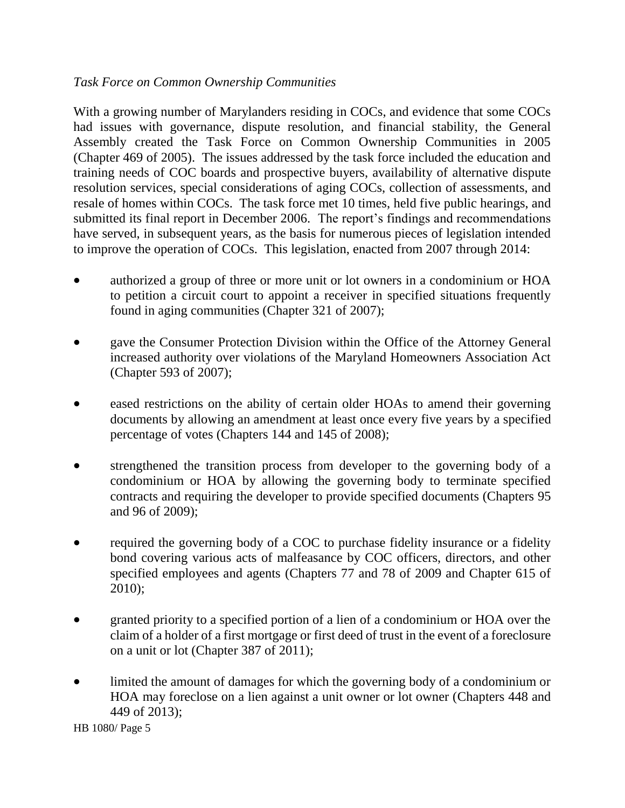#### *Task Force on Common Ownership Communities*

With a growing number of Marylanders residing in COCs, and evidence that some COCs had issues with governance, dispute resolution, and financial stability, the General Assembly created the Task Force on Common Ownership Communities in 2005 (Chapter 469 of 2005). The issues addressed by the task force included the education and training needs of COC boards and prospective buyers, availability of alternative dispute resolution services, special considerations of aging COCs, collection of assessments, and resale of homes within COCs. The task force met 10 times, held five public hearings, and submitted its final report in December 2006. The report's findings and recommendations have served, in subsequent years, as the basis for numerous pieces of legislation intended to improve the operation of COCs. This legislation, enacted from 2007 through 2014:

- authorized a group of three or more unit or lot owners in a condominium or HOA to petition a circuit court to appoint a receiver in specified situations frequently found in aging communities (Chapter 321 of 2007);
- gave the Consumer Protection Division within the Office of the Attorney General increased authority over violations of the Maryland Homeowners Association Act (Chapter 593 of 2007);
- eased restrictions on the ability of certain older HOAs to amend their governing documents by allowing an amendment at least once every five years by a specified percentage of votes (Chapters 144 and 145 of 2008);
- strengthened the transition process from developer to the governing body of a condominium or HOA by allowing the governing body to terminate specified contracts and requiring the developer to provide specified documents (Chapters 95 and 96 of 2009);
- required the governing body of a COC to purchase fidelity insurance or a fidelity bond covering various acts of malfeasance by COC officers, directors, and other specified employees and agents (Chapters 77 and 78 of 2009 and Chapter 615 of 2010);
- granted priority to a specified portion of a lien of a condominium or HOA over the claim of a holder of a first mortgage or first deed of trust in the event of a foreclosure on a unit or lot (Chapter 387 of 2011);
- limited the amount of damages for which the governing body of a condominium or HOA may foreclose on a lien against a unit owner or lot owner (Chapters 448 and 449 of 2013);

HB 1080/ Page 5